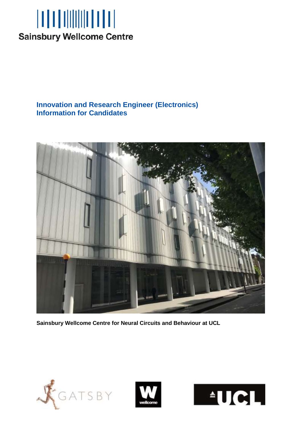

# **Innovation and Research Engineer (Electronics) Information for Candidates**



**Sainsbury Wellcome Centre for Neural Circuits and Behaviour at UCL**





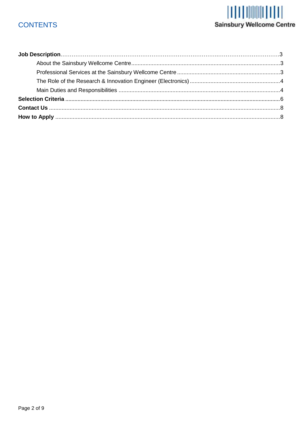# **CONTENTS**

# **ALLANDRIN (1)**<br>Sainsbury Wellcome Centre

<span id="page-1-0"></span>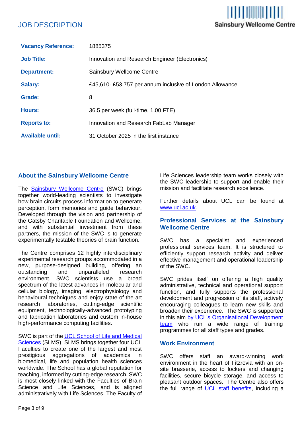## JOB DESCRIPTION

| <b>Vacancy Reference:</b> | 1885375                                                  |
|---------------------------|----------------------------------------------------------|
| <b>Job Title:</b>         | Innovation and Research Engineer (Electronics)           |
| <b>Department:</b>        | Sainsbury Wellcome Centre                                |
| <b>Salary:</b>            | £45,610-£53,757 per annum inclusive of London Allowance. |
| Grade:                    | 8                                                        |
| Hours:                    | 36.5 per week (full-time, 1.00 FTE)                      |
| <b>Reports to:</b>        | Innovation and Research FabLab Manager                   |
| <b>Available until:</b>   | 31 October 2025 in the first instance                    |

#### <span id="page-2-0"></span>**About the Sainsbury Wellcome Centre**

The [Sainsbury Wellcome Centre](http://www.sainsburywellcome.org/) (SWC) brings together world-leading scientists to investigate how brain circuits process information to generate perception, form memories and guide behaviour. Developed through the vision and partnership of the Gatsby Charitable Foundation and Wellcome, and with substantial investment from these partners, the mission of the SWC is to generate experimentally testable theories of brain function.

The Centre comprises 12 highly interdisciplinary experimental research groups accommodated in a new, purpose-designed building, offering an outstanding and unparalleled research environment. SWC scientists use a broad spectrum of the latest advances in molecular and cellular biology, imaging, electrophysiology and behavioural techniques and enjoy state-of-the-art research laboratories, cutting-edge scientific equipment, technologically-advanced prototyping and fabrication laboratories and custom in-house high-performance computing facilities.

SWC is part of the [UCL School of Life and Medical](https://www.ucl.ac.uk/school-life-medical-sciences/about-ucl-school-life-and-medical-sciences.)  [Sciences](https://www.ucl.ac.uk/school-life-medical-sciences/about-ucl-school-life-and-medical-sciences.) (SLMS). SLMS brings together four UCL Faculties to create one of the largest and most prestigious aggregations of academics in biomedical, life and population health sciences worldwide. The School has a global reputation for teaching, informed by cutting-edge research. SWC is most closely linked with the Faculties of Brain Science and Life Sciences, and is aligned administratively with Life Sciences. The Faculty of

Life Sciences leadership team works closely with the SWC leadership to support and enable their mission and facilitate research excellence.

I TI DININ TITI

**Sainsbury Wellcome Centre** 

Further details about UCL can be found at [www.ucl.ac.uk.](http://www.ucl.ac.uk/)

#### <span id="page-2-1"></span>**Professional Services at the Sainsbury Wellcome Centre**

SWC has a specialist and experienced professional services team. It is structured to efficiently support research activity and deliver effective management and operational leadership of the SWC.

SWC prides itself on offering a high quality administrative, technical and operational support function, and fully supports the professional development and progression of its staff, actively encouraging colleagues to learn new skills and broaden their experience. The SWC is supported in this aim by UCL's Organisational Development [team](https://www.ucl.ac.uk/human-resources/learning-and-development) who run a wide range of training programmes for all staff types and grades.

#### **Work Environment**

SWC offers staff an award-winning work environment in the heart of Fitzrovia with an onsite brasserie, access to lockers and changing facilities, secure bicycle storage, and access to pleasant outdoor spaces. The Centre also offers the full range of [UCL staff benefits,](https://www.ucl.ac.uk/human-resources/pay-and-staff-benefits) including a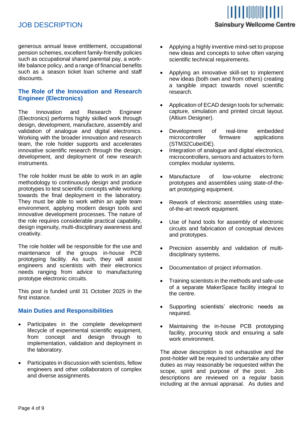## JOB DESCRIPTION

# **I TANIHI DA Sainsbury Wellcome Centre**

generous annual leave entitlement, occupational pension schemes, excellent family-friendly policies such as occupational shared parental pay, a worklife balance policy, and a range of financial benefits such as a season ticket loan scheme and staff discounts.

#### <span id="page-3-0"></span>**The Role of the Innovation and Research Engineer (Electronics)**

The Innovation and Research Engineer (Electronics) performs highly skilled work through design, development, manufacture, assembly and validation of analogue and digital electronics. Working with the broader innovation and research team, the role holder supports and accelerates innovative scientific research through the design, development, and deployment of new research instruments.

The role holder must be able to work in an agile methodology to continuously design and produce prototypes to test scientific concepts while working towards the final deployment in the laboratory. They must be able to work within an agile team environment, applying modern design tools and innovative development processes. The nature of the role requires considerable practical capability, design ingenuity, multi-disciplinary awareness and creativity.

The role holder will be responsible for the use and maintenance of the groups in-house PCB prototyping facility. As such, they will assist engineers and scientists with their electronics needs ranging from advice to manufacturing prototype electronic circuits.

This post is funded until 31 October 2025 in the first instance.

#### <span id="page-3-1"></span>**Main Duties and Responsibilities**

- Participates in the complete development lifecycle of experimental scientific equipment, from concept and design through to implementation, validation and deployment in the laboratory.
- Participates in discussion with scientists, fellow engineers and other collaborators of complex and diverse assignments.
- Applying a highly inventive mind-set to propose new ideas and concepts to solve often varying scientific technical requirements.
- Applying an innovative skill-set to implement new ideas (both own and from others) creating a tangible impact towards novel scientific research.
- Application of ECAD design tools for schematic capture, simulation and printed circuit layout. (Altium Designer).
- Development of real-time embedded<br>microcontroller firmware applications microcontroller (STM32CubeIDE).
- Integration of analogue and digital electronics, microcontrollers, sensors and actuators to form complex modular systems.
- Manufacture of low-volume electronic prototypes and assemblies using state-of-theart prototyping equipment.
- Rework of electronic assemblies using stateof-the-art rework equipment.
- Use of hand tools for assembly of electronic circuits and fabrication of conceptual devices and prototypes.
- Precision assembly and validation of multidisciplinary systems.
- Documentation of project information.
- Training scientists in the methods and safe-use of a separate MakerSpace facility integral to the centre.
- Supporting scientists' electronic needs as required.
- Maintaining the in-house PCB prototyping facility, procuring stock and ensuring a safe work environment.

The above description is not exhaustive and the post-holder will be required to undertake any other duties as may reasonably be requested within the scope, spirit and purpose of the post. Job descriptions are reviewed on a regular basis including at the annual appraisal. As duties and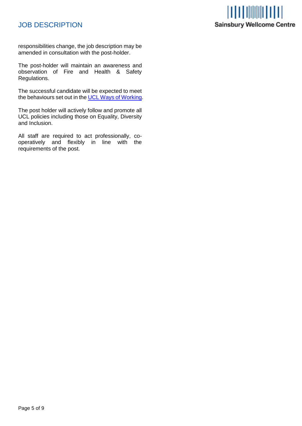# JOB DESCRIPTION



responsibilities change, the job description may be amended in consultation with the post-holder.

The post-holder will maintain an awareness and observation of Fire and Health & Safety Regulations.

The successful candidate will be expected to meet the behaviours set out in th[e UCL Ways of Working.](https://www.ucl.ac.uk/human-resources/policies-advice/ways-working.)

The post holder will actively follow and promote all UCL policies including those on Equality, Diversity and Inclusion.

All staff are required to act professionally, cooperatively and flexibly in line with the requirements of the post.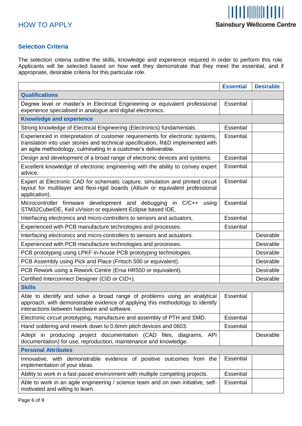#### <span id="page-5-0"></span>**Selection Criteria**

The selection criteria outline the skills, knowledge and experience required in order to perform this role. Applicants will be selected based on how well they demonstrate that they meet the essential, and if appropriate, desirable criteria for this particular role.

|                                                                                                                                                                                                                                     | <b>Essential</b> | <b>Desirable</b> |
|-------------------------------------------------------------------------------------------------------------------------------------------------------------------------------------------------------------------------------------|------------------|------------------|
| <b>Qualifications</b>                                                                                                                                                                                                               |                  |                  |
| Degree level or master's in Electrical Engineering or equivalent professional<br>experience specialised in analogue and digital electronics.                                                                                        | Essential        |                  |
| <b>Knowledge and experience</b>                                                                                                                                                                                                     |                  |                  |
| Strong knowledge of Electrical Engineering (Electronics) fundamentals.                                                                                                                                                              | Essential        |                  |
| Experienced in interpretation of customer requirements for electronic systems,<br>translation into user stories and technical specification, R&D implemented with<br>an agile methodology, culminating in a customer's deliverable. | Essential        |                  |
| Design and development of a broad range of electronic devices and systems.                                                                                                                                                          | Essential        |                  |
| Excellent knowledge of electronic engineering with the ability to convey expert<br>advice.                                                                                                                                          | Essential        |                  |
| Expert at Electronic CAD for schematic capture, simulation and printed circuit<br>layout for multilayer and flexi-rigid boards (Altium or equivalent professional<br>application).                                                  | Essential        |                  |
| Microcontroller firmware development and debugging in C/C++<br>using<br>STM32CubeIDE, Keil uVision or equivalent Eclipse based IDE.                                                                                                 | Essential        |                  |
| Interfacing electronics and micro-controllers to sensors and actuators.                                                                                                                                                             | Essential        |                  |
| Experienced with PCB manufacture technologies and processes.                                                                                                                                                                        | Essential        |                  |
| Interfacing electronics and micro-controllers to sensors and actuators.                                                                                                                                                             |                  | Desirable        |
| Experienced with PCB manufacture technologies and processes.                                                                                                                                                                        |                  | Desirable        |
| PCB prototyping using LPKF in-house PCB prototyping technologies.                                                                                                                                                                   |                  | Desirable        |
| PCB Assembly using Pick and Place (Fritsch 500 or equivalent).                                                                                                                                                                      |                  | Desirable        |
| PCB Rework using a Rework Centre (Ersa HR550 or equivalent).                                                                                                                                                                        |                  | Desirable        |
| Certified Interconnect Designer (CID or CID+).                                                                                                                                                                                      |                  | Desirable        |
| <b>Skills</b>                                                                                                                                                                                                                       |                  |                  |
| Able to identify and solve a broad range of problems using an analytical<br>approach, with demonstrable evidence of applying this methodology to identify<br>interactions between hardware and software                             | Essential        |                  |
| Electronic circuit prototyping, manufacture and assembly of PTH and SMD.                                                                                                                                                            | Essential        |                  |
| Hand soldering and rework down to 0.6mm pitch devices and 0603.                                                                                                                                                                     | Essential        |                  |
| Adept in producing project documentation (CAD files, diagrams, API<br>documentation) for use, reproduction, maintenance and knowledge.                                                                                              |                  | Desirable        |
| <b>Personal Attributes</b>                                                                                                                                                                                                          |                  |                  |
| Innovative, with demonstrable evidence of positive outcomes from the<br>implementation of your ideas.                                                                                                                               | Essential        |                  |
| Ability to work in a fast-paced environment with multiple competing projects.                                                                                                                                                       | Essential        |                  |
| Able to work in an agile engineering / science team and on own initiative, self-<br>motivated and willing to learn.                                                                                                                 | Essential        |                  |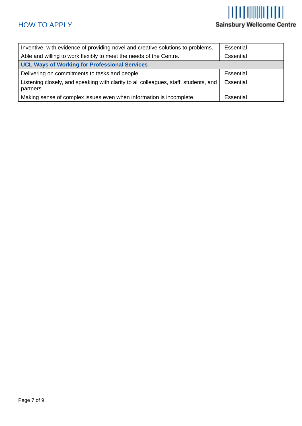# $||| || || || || || || || || || ||$ Sainsbury Wellcome Centre

<span id="page-6-0"></span>

| Inventive, with evidence of providing novel and creative solutions to problems.                   | <b>Essential</b> |  |
|---------------------------------------------------------------------------------------------------|------------------|--|
| Able and willing to work flexibly to meet the needs of the Centre.                                | Essential        |  |
| <b>UCL Ways of Working for Professional Services</b>                                              |                  |  |
| Delivering on commitments to tasks and people.                                                    | Essential        |  |
| Listening closely, and speaking with clarity to all colleagues, staff, students, and<br>partners. | Essential        |  |
| Making sense of complex issues even when information is incomplete.                               | <b>Essential</b> |  |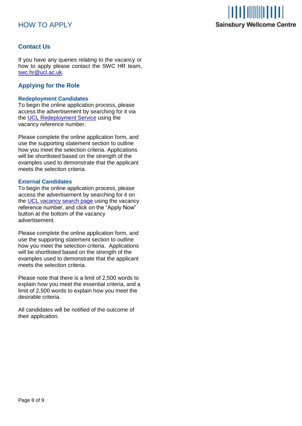### HOW TO APPLY



#### **Contact Us**

If you have any queries relating to the vacancy or how to apply please contact the SWC HR team, [swc.hr@ucl.ac.uk.](mailto:swc.hr@ucl.ac.uk)

#### <span id="page-7-0"></span>**Applying for the Role**

#### **Redeployment Candidates**

To begin the online application process, please access the advertisement by searching for it via the UCL [Redeployment Service](https://www.ucl.ac.uk/human-resources/working-ucl/internal-opportunities) using the vacancy reference number.

Please complete the online application form, and use the supporting statement section to outline how you meet the selection criteria. Applications will be shortlisted based on the strength of the examples used to demonstrate that the applicant meets the selection criteria.

#### **External Candidates**

To begin the online application process, please access the advertisement by searching for it on the [UCL vacancy search page](http://www.ucl.ac.uk/hr/jobs/) using the vacancy reference number, and click on the "Apply Now" button at the bottom of the vacancy advertisement.

Please complete the online application form, and use the supporting statement section to outline how you meet the selection criteria. Applications will be shortlisted based on the strength of the examples used to demonstrate that the applicant meets the selection criteria.

Please note that there is a limit of 2,500 words to explain how you meet the essential criteria, and a limit of 2,500 words to explain how you meet the desirable criteria.

All candidates will be notified of the outcome of their application.